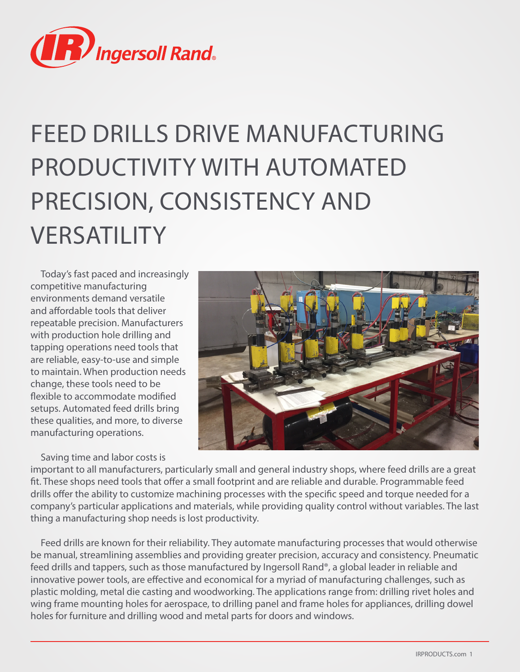

# FEED DRILLS DRIVE MANUFACTURING PRODUCTIVITY WITH AUTOMATED PRECISION, CONSISTENCY AND VERSATILITY

Today's fast paced and increasingly competitive manufacturing environments demand versatile and affordable tools that deliver repeatable precision. Manufacturers with production hole drilling and tapping operations need tools that are reliable, easy-to-use and simple to maintain. When production needs change, these tools need to be flexible to accommodate modified setups. Automated feed drills bring these qualities, and more, to diverse manufacturing operations.

Saving time and labor costs is



important to all manufacturers, particularly small and general industry shops, where feed drills are a great fit. These shops need tools that offer a small footprint and are reliable and durable. Programmable feed drills offer the ability to customize machining processes with the specific speed and torque needed for a company's particular applications and materials, while providing quality control without variables. The last thing a manufacturing shop needs is lost productivity.

Feed drills are known for their reliability. They automate manufacturing processes that would otherwise be manual, streamlining assemblies and providing greater precision, accuracy and consistency. Pneumatic feed drills and tappers, such as those manufactured by Ingersoll Rand®, a global leader in reliable and innovative power tools, are effective and economical for a myriad of manufacturing challenges, such as plastic molding, metal die casting and woodworking. The applications range from: drilling rivet holes and wing frame mounting holes for aerospace, to drilling panel and frame holes for appliances, drilling dowel holes for furniture and drilling wood and metal parts for doors and windows.